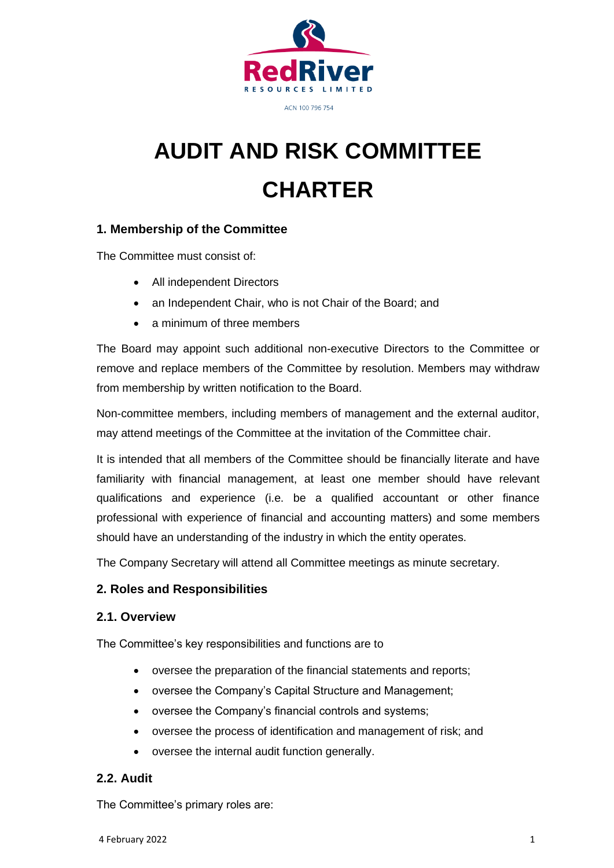

**AUDIT AND RISK COMMITTEE CHARTER**

## **1. Membership of the Committee**

The Committee must consist of:

- All independent Directors
- an Independent Chair, who is not Chair of the Board; and
- a minimum of three members

The Board may appoint such additional non-executive Directors to the Committee or remove and replace members of the Committee by resolution. Members may withdraw from membership by written notification to the Board.

Non-committee members, including members of management and the external auditor, may attend meetings of the Committee at the invitation of the Committee chair.

It is intended that all members of the Committee should be financially literate and have familiarity with financial management, at least one member should have relevant qualifications and experience (i.e. be a qualified accountant or other finance professional with experience of financial and accounting matters) and some members should have an understanding of the industry in which the entity operates.

The Company Secretary will attend all Committee meetings as minute secretary.

#### **2. Roles and Responsibilities**

#### **2.1. Overview**

The Committee's key responsibilities and functions are to

- oversee the preparation of the financial statements and reports;
- oversee the Company's Capital Structure and Management;
- oversee the Company's financial controls and systems;
- oversee the process of identification and management of risk; and
- oversee the internal audit function generally.

#### **2.2. Audit**

The Committee's primary roles are: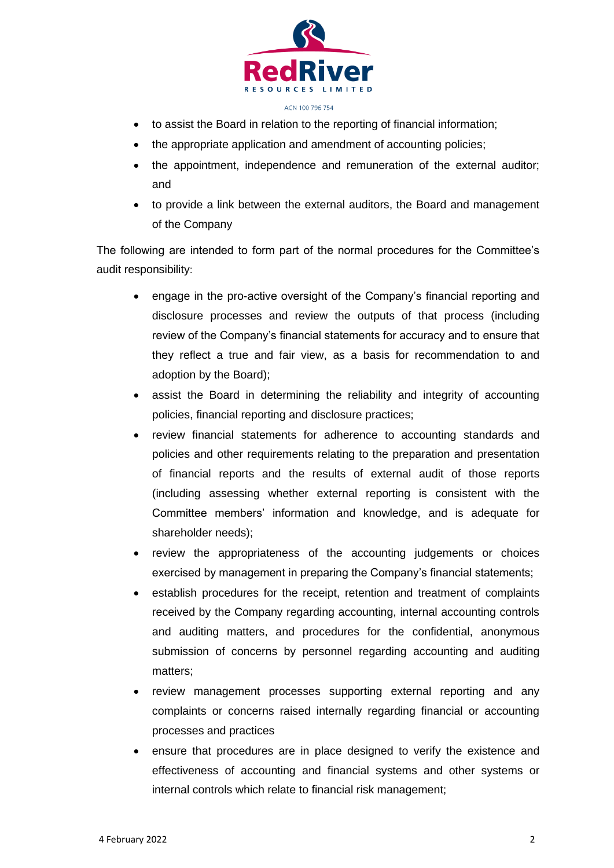

- to assist the Board in relation to the reporting of financial information;
- the appropriate application and amendment of accounting policies;
- the appointment, independence and remuneration of the external auditor; and
- to provide a link between the external auditors, the Board and management of the Company

The following are intended to form part of the normal procedures for the Committee's audit responsibility:

- engage in the pro-active oversight of the Company's financial reporting and disclosure processes and review the outputs of that process (including review of the Company's financial statements for accuracy and to ensure that they reflect a true and fair view, as a basis for recommendation to and adoption by the Board);
- assist the Board in determining the reliability and integrity of accounting policies, financial reporting and disclosure practices;
- review financial statements for adherence to accounting standards and policies and other requirements relating to the preparation and presentation of financial reports and the results of external audit of those reports (including assessing whether external reporting is consistent with the Committee members' information and knowledge, and is adequate for shareholder needs);
- review the appropriateness of the accounting judgements or choices exercised by management in preparing the Company's financial statements;
- establish procedures for the receipt, retention and treatment of complaints received by the Company regarding accounting, internal accounting controls and auditing matters, and procedures for the confidential, anonymous submission of concerns by personnel regarding accounting and auditing matters;
- review management processes supporting external reporting and any complaints or concerns raised internally regarding financial or accounting processes and practices
- ensure that procedures are in place designed to verify the existence and effectiveness of accounting and financial systems and other systems or internal controls which relate to financial risk management;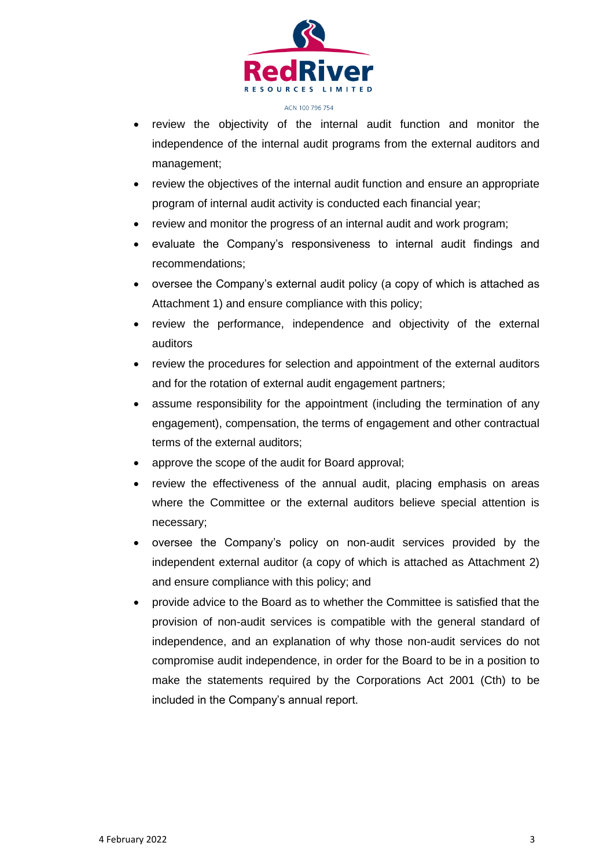

- review the objectivity of the internal audit function and monitor the independence of the internal audit programs from the external auditors and management;
- review the objectives of the internal audit function and ensure an appropriate program of internal audit activity is conducted each financial year;
- review and monitor the progress of an internal audit and work program;
- evaluate the Company's responsiveness to internal audit findings and recommendations;
- oversee the Company's external audit policy (a copy of which is attached as Attachment 1) and ensure compliance with this policy;
- review the performance, independence and objectivity of the external auditors
- review the procedures for selection and appointment of the external auditors and for the rotation of external audit engagement partners;
- assume responsibility for the appointment (including the termination of any engagement), compensation, the terms of engagement and other contractual terms of the external auditors;
- approve the scope of the audit for Board approval;
- review the effectiveness of the annual audit, placing emphasis on areas where the Committee or the external auditors believe special attention is necessary;
- oversee the Company's policy on non-audit services provided by the independent external auditor (a copy of which is attached as Attachment 2) and ensure compliance with this policy; and
- provide advice to the Board as to whether the Committee is satisfied that the provision of non-audit services is compatible with the general standard of independence, and an explanation of why those non-audit services do not compromise audit independence, in order for the Board to be in a position to make the statements required by the Corporations Act 2001 (Cth) to be included in the Company's annual report.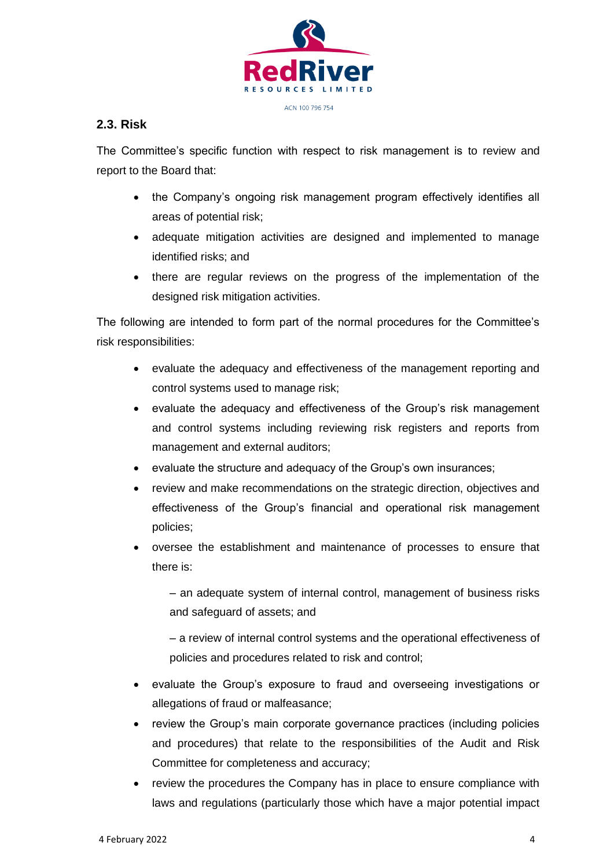

### **2.3. Risk**

The Committee's specific function with respect to risk management is to review and report to the Board that:

- the Company's ongoing risk management program effectively identifies all areas of potential risk;
- adequate mitigation activities are designed and implemented to manage identified risks; and
- there are regular reviews on the progress of the implementation of the designed risk mitigation activities.

The following are intended to form part of the normal procedures for the Committee's risk responsibilities:

- evaluate the adequacy and effectiveness of the management reporting and control systems used to manage risk;
- evaluate the adequacy and effectiveness of the Group's risk management and control systems including reviewing risk registers and reports from management and external auditors;
- evaluate the structure and adequacy of the Group's own insurances;
- review and make recommendations on the strategic direction, objectives and effectiveness of the Group's financial and operational risk management policies;
- oversee the establishment and maintenance of processes to ensure that there is:

– an adequate system of internal control, management of business risks and safeguard of assets; and

– a review of internal control systems and the operational effectiveness of policies and procedures related to risk and control;

- evaluate the Group's exposure to fraud and overseeing investigations or allegations of fraud or malfeasance;
- review the Group's main corporate governance practices (including policies and procedures) that relate to the responsibilities of the Audit and Risk Committee for completeness and accuracy;
- review the procedures the Company has in place to ensure compliance with laws and regulations (particularly those which have a major potential impact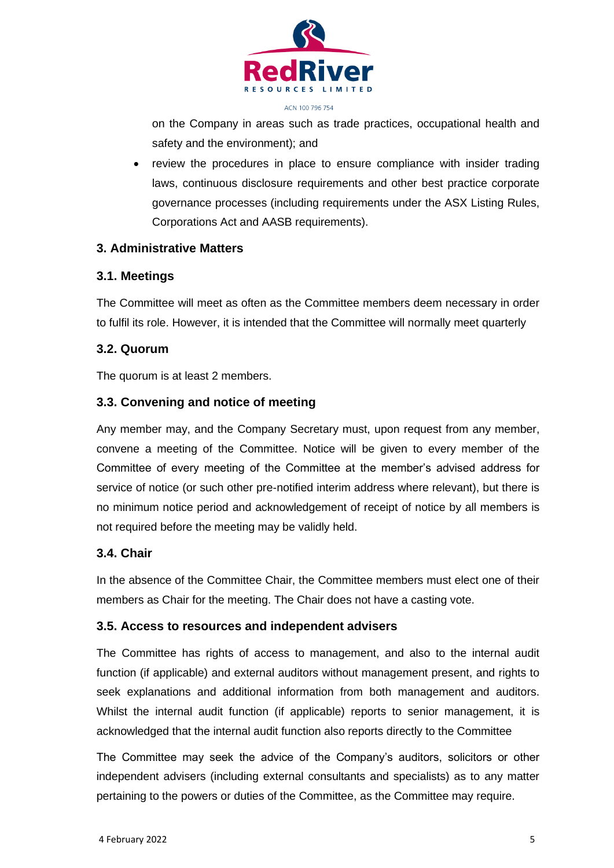

on the Company in areas such as trade practices, occupational health and safety and the environment); and

• review the procedures in place to ensure compliance with insider trading laws, continuous disclosure requirements and other best practice corporate governance processes (including requirements under the ASX Listing Rules, Corporations Act and AASB requirements).

#### **3. Administrative Matters**

#### **3.1. Meetings**

The Committee will meet as often as the Committee members deem necessary in order to fulfil its role. However, it is intended that the Committee will normally meet quarterly

#### **3.2. Quorum**

The quorum is at least 2 members.

#### **3.3. Convening and notice of meeting**

Any member may, and the Company Secretary must, upon request from any member, convene a meeting of the Committee. Notice will be given to every member of the Committee of every meeting of the Committee at the member's advised address for service of notice (or such other pre-notified interim address where relevant), but there is no minimum notice period and acknowledgement of receipt of notice by all members is not required before the meeting may be validly held.

#### **3.4. Chair**

In the absence of the Committee Chair, the Committee members must elect one of their members as Chair for the meeting. The Chair does not have a casting vote.

#### **3.5. Access to resources and independent advisers**

The Committee has rights of access to management, and also to the internal audit function (if applicable) and external auditors without management present, and rights to seek explanations and additional information from both management and auditors. Whilst the internal audit function (if applicable) reports to senior management, it is acknowledged that the internal audit function also reports directly to the Committee

The Committee may seek the advice of the Company's auditors, solicitors or other independent advisers (including external consultants and specialists) as to any matter pertaining to the powers or duties of the Committee, as the Committee may require.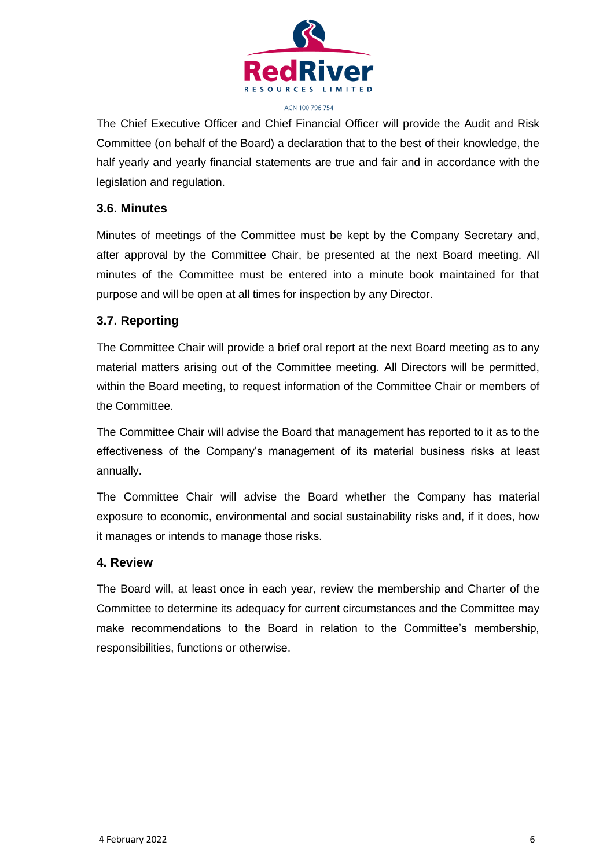

The Chief Executive Officer and Chief Financial Officer will provide the Audit and Risk Committee (on behalf of the Board) a declaration that to the best of their knowledge, the half yearly and yearly financial statements are true and fair and in accordance with the legislation and regulation.

#### **3.6. Minutes**

Minutes of meetings of the Committee must be kept by the Company Secretary and, after approval by the Committee Chair, be presented at the next Board meeting. All minutes of the Committee must be entered into a minute book maintained for that purpose and will be open at all times for inspection by any Director.

#### **3.7. Reporting**

The Committee Chair will provide a brief oral report at the next Board meeting as to any material matters arising out of the Committee meeting. All Directors will be permitted, within the Board meeting, to request information of the Committee Chair or members of the Committee.

The Committee Chair will advise the Board that management has reported to it as to the effectiveness of the Company's management of its material business risks at least annually.

The Committee Chair will advise the Board whether the Company has material exposure to economic, environmental and social sustainability risks and, if it does, how it manages or intends to manage those risks.

#### **4. Review**

The Board will, at least once in each year, review the membership and Charter of the Committee to determine its adequacy for current circumstances and the Committee may make recommendations to the Board in relation to the Committee's membership, responsibilities, functions or otherwise.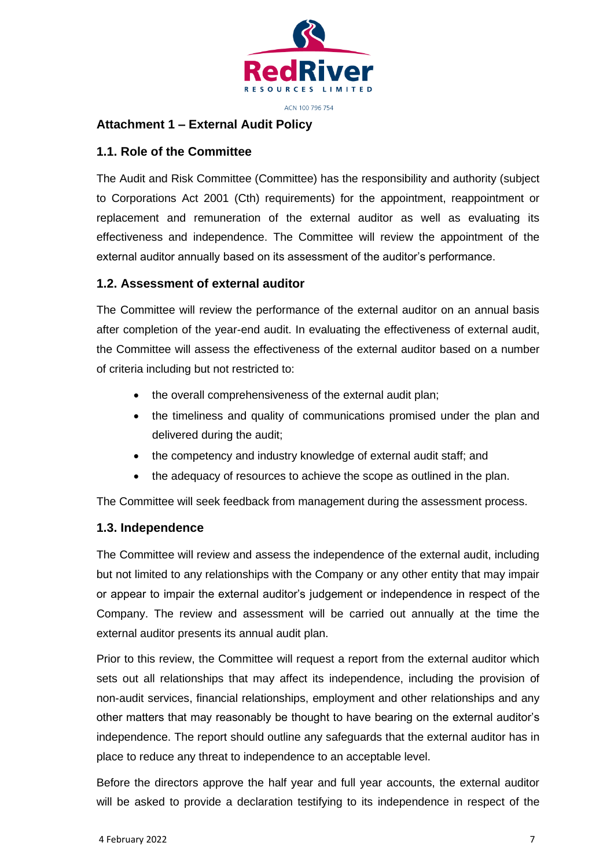

#### **Attachment 1 – External Audit Policy**

#### **1.1. Role of the Committee**

The Audit and Risk Committee (Committee) has the responsibility and authority (subject to Corporations Act 2001 (Cth) requirements) for the appointment, reappointment or replacement and remuneration of the external auditor as well as evaluating its effectiveness and independence. The Committee will review the appointment of the external auditor annually based on its assessment of the auditor's performance.

#### **1.2. Assessment of external auditor**

The Committee will review the performance of the external auditor on an annual basis after completion of the year-end audit. In evaluating the effectiveness of external audit, the Committee will assess the effectiveness of the external auditor based on a number of criteria including but not restricted to:

- the overall comprehensiveness of the external audit plan;
- the timeliness and quality of communications promised under the plan and delivered during the audit;
- the competency and industry knowledge of external audit staff; and
- the adequacy of resources to achieve the scope as outlined in the plan.

The Committee will seek feedback from management during the assessment process.

#### **1.3. Independence**

The Committee will review and assess the independence of the external audit, including but not limited to any relationships with the Company or any other entity that may impair or appear to impair the external auditor's judgement or independence in respect of the Company. The review and assessment will be carried out annually at the time the external auditor presents its annual audit plan.

Prior to this review, the Committee will request a report from the external auditor which sets out all relationships that may affect its independence, including the provision of non-audit services, financial relationships, employment and other relationships and any other matters that may reasonably be thought to have bearing on the external auditor's independence. The report should outline any safeguards that the external auditor has in place to reduce any threat to independence to an acceptable level.

Before the directors approve the half year and full year accounts, the external auditor will be asked to provide a declaration testifying to its independence in respect of the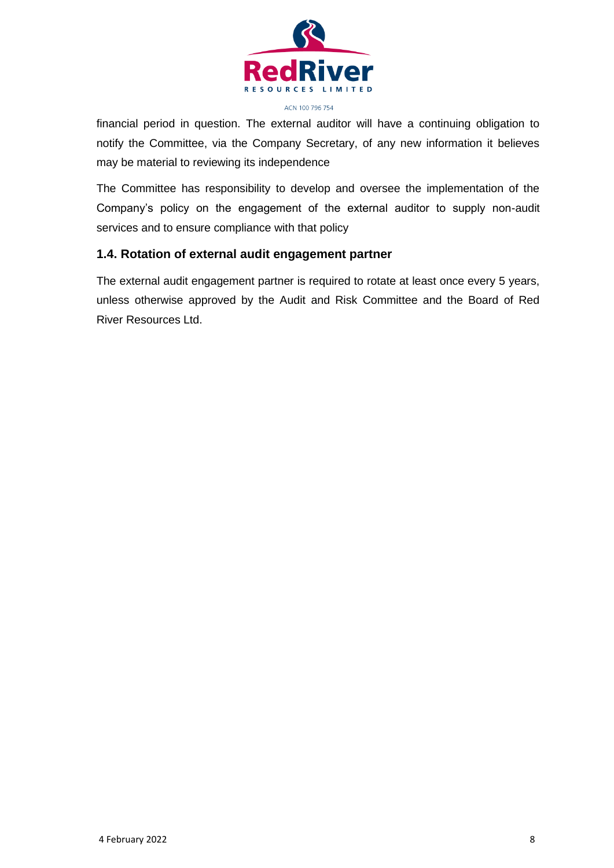

financial period in question. The external auditor will have a continuing obligation to notify the Committee, via the Company Secretary, of any new information it believes may be material to reviewing its independence

The Committee has responsibility to develop and oversee the implementation of the Company's policy on the engagement of the external auditor to supply non-audit services and to ensure compliance with that policy

#### **1.4. Rotation of external audit engagement partner**

The external audit engagement partner is required to rotate at least once every 5 years, unless otherwise approved by the Audit and Risk Committee and the Board of Red River Resources Ltd.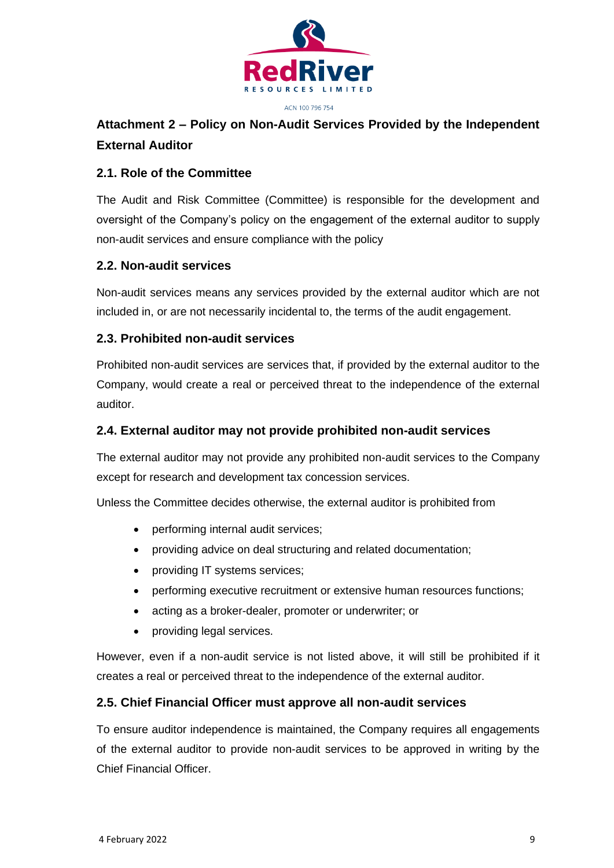

# **Attachment 2 – Policy on Non-Audit Services Provided by the Independent External Auditor**

## **2.1. Role of the Committee**

The Audit and Risk Committee (Committee) is responsible for the development and oversight of the Company's policy on the engagement of the external auditor to supply non-audit services and ensure compliance with the policy

## **2.2. Non-audit services**

Non-audit services means any services provided by the external auditor which are not included in, or are not necessarily incidental to, the terms of the audit engagement.

## **2.3. Prohibited non-audit services**

Prohibited non-audit services are services that, if provided by the external auditor to the Company, would create a real or perceived threat to the independence of the external auditor.

#### **2.4. External auditor may not provide prohibited non-audit services**

The external auditor may not provide any prohibited non-audit services to the Company except for research and development tax concession services.

Unless the Committee decides otherwise, the external auditor is prohibited from

- performing internal audit services;
- providing advice on deal structuring and related documentation;
- providing IT systems services;
- performing executive recruitment or extensive human resources functions;
- acting as a broker-dealer, promoter or underwriter; or
- providing legal services.

However, even if a non-audit service is not listed above, it will still be prohibited if it creates a real or perceived threat to the independence of the external auditor.

#### **2.5. Chief Financial Officer must approve all non-audit services**

To ensure auditor independence is maintained, the Company requires all engagements of the external auditor to provide non-audit services to be approved in writing by the Chief Financial Officer.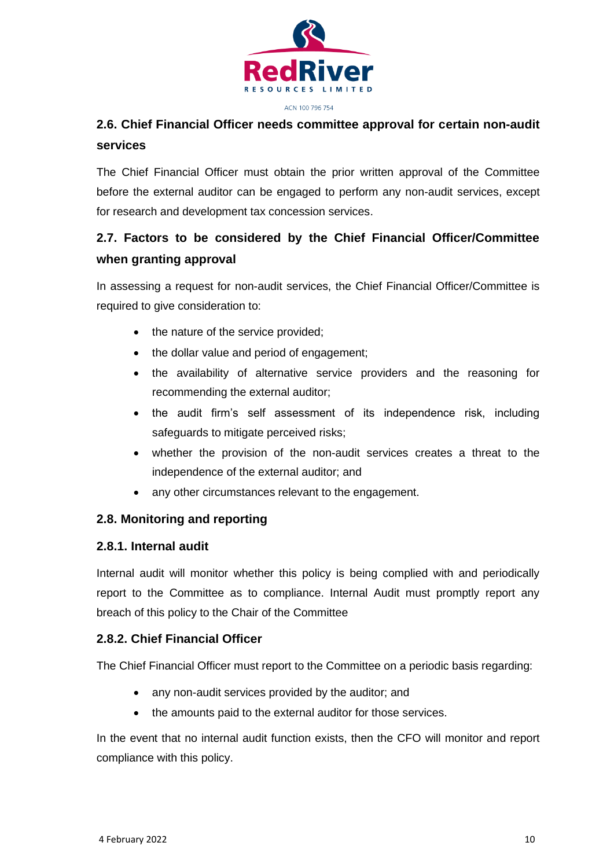

# **2.6. Chief Financial Officer needs committee approval for certain non-audit services**

The Chief Financial Officer must obtain the prior written approval of the Committee before the external auditor can be engaged to perform any non-audit services, except for research and development tax concession services.

# **2.7. Factors to be considered by the Chief Financial Officer/Committee when granting approval**

In assessing a request for non-audit services, the Chief Financial Officer/Committee is required to give consideration to:

- the nature of the service provided;
- the dollar value and period of engagement;
- the availability of alternative service providers and the reasoning for recommending the external auditor;
- the audit firm's self assessment of its independence risk, including safeguards to mitigate perceived risks;
- whether the provision of the non-audit services creates a threat to the independence of the external auditor; and
- any other circumstances relevant to the engagement.

# **2.8. Monitoring and reporting**

# **2.8.1. Internal audit**

Internal audit will monitor whether this policy is being complied with and periodically report to the Committee as to compliance. Internal Audit must promptly report any breach of this policy to the Chair of the Committee

# **2.8.2. Chief Financial Officer**

The Chief Financial Officer must report to the Committee on a periodic basis regarding:

- any non-audit services provided by the auditor; and
- the amounts paid to the external auditor for those services.

In the event that no internal audit function exists, then the CFO will monitor and report compliance with this policy.